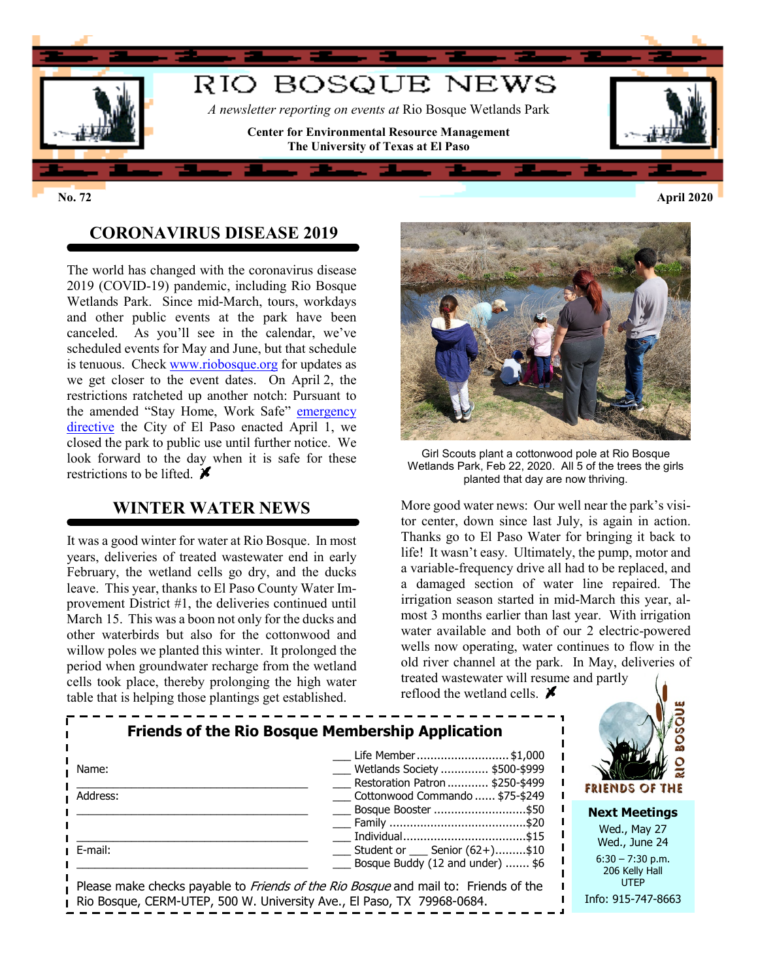

**No. 72 April 2020**

## **CORONAVIRUS DISEASE 2019**

The world has changed with the coronavirus disease 2019 (COVID-19) pandemic, including Rio Bosque Wetlands Park. Since mid-March, tours, workdays and other public events at the park have been canceled. As you'll see in the calendar, we've scheduled events for May and June, but that schedule is tenuous. Check [www.riobosque.org](http://www.riobosque.org/) for updates as we get closer to the event dates. On April 2, the restrictions ratcheted up another notch: Pursuant to the amended "Stay Home, Work Safe" [emergency](https://www.scribd.com/document/454491802/Amendment-to-Local-Emergency-Directive-english#download&from_embed)  [directive](https://www.scribd.com/document/454491802/Amendment-to-Local-Emergency-Directive-english#download&from_embed) the City of El Paso enacted April 1, we closed the park to public use until further notice. We look forward to the day when it is safe for these restrictions to be lifted.  $\blacktriangleright$ 

#### **WINTER WATER NEWS**

It was a good winter for water at Rio Bosque. In most years, deliveries of treated wastewater end in early February, the wetland cells go dry, and the ducks leave. This year, thanks to El Paso County Water Improvement District #1, the deliveries continued until March 15. This was a boon not only for the ducks and other waterbirds but also for the cottonwood and willow poles we planted this winter. It prolonged the period when groundwater recharge from the wetland cells took place, thereby prolonging the high water table that is helping those plantings get established.



Girl Scouts plant a cottonwood pole at Rio Bosque Wetlands Park, Feb 22, 2020. All 5 of the trees the girls planted that day are now thriving.

More good water news: Our well near the park's visitor center, down since last July, is again in action. Thanks go to El Paso Water for bringing it back to life! It wasn't easy. Ultimately, the pump, motor and a variable-frequency drive all had to be replaced, and a damaged section of water line repaired. The irrigation season started in mid-March this year, almost 3 months earlier than last year. With irrigation water available and both of our 2 electric-powered wells now operating, water continues to flow in the old river channel at the park. In May, deliveries of treated wastewater will resume and partly

reflood the wetland cells.  $\boldsymbol{\mathcal{F}}$  $\frac{1}{2}$  and  $\frac{1}{2}$  and  $\frac{1}{2}$  and  $\frac{1}{2}$  and  $\frac{1}{2}$  and  $\frac{1}{2}$  and  $\frac{1}{2}$  and  $\frac{1}{2}$  and  $\frac{1}{2}$  and  $\frac{1}{2}$  and  $\frac{1}{2}$  and  $\frac{1}{2}$  and  $\frac{1}{2}$  and  $\frac{1}{2}$  and  $\frac{1}{2}$  and  $\frac{1}{2}$  a

| <b>Friends of the Rio Bosque Membership Application</b>                                                                                                       |                                                                                                                           |                                                       |
|---------------------------------------------------------------------------------------------------------------------------------------------------------------|---------------------------------------------------------------------------------------------------------------------------|-------------------------------------------------------|
| Name:<br>Address:                                                                                                                                             | Life Member\$1,000<br>Wetlands Society  \$500-\$999<br>Restoration Patron  \$250-\$499<br>Cottonwood Commando  \$75-\$249 | FRIENDS OF THE                                        |
|                                                                                                                                                               | Bosque Booster \$50                                                                                                       | <b>Next Meetings</b><br>Wed., May 27                  |
| E-mail:                                                                                                                                                       | $\frac{1}{2}$ Student or $\frac{1}{2}$ Senior (62+)\$10<br>Bosque Buddy (12 and under)  \$6                               | Wed., June 24<br>$6:30 - 7:30$ p.m.<br>206 Kelly Hall |
| Please make checks payable to Friends of the Rio Bosque and mail to: Friends of the<br>Rio Bosque, CERM-UTEP, 500 W. University Ave., El Paso, TX 79968-0684. |                                                                                                                           | <b>UTEP</b><br>Info: 915-747-8663                     |